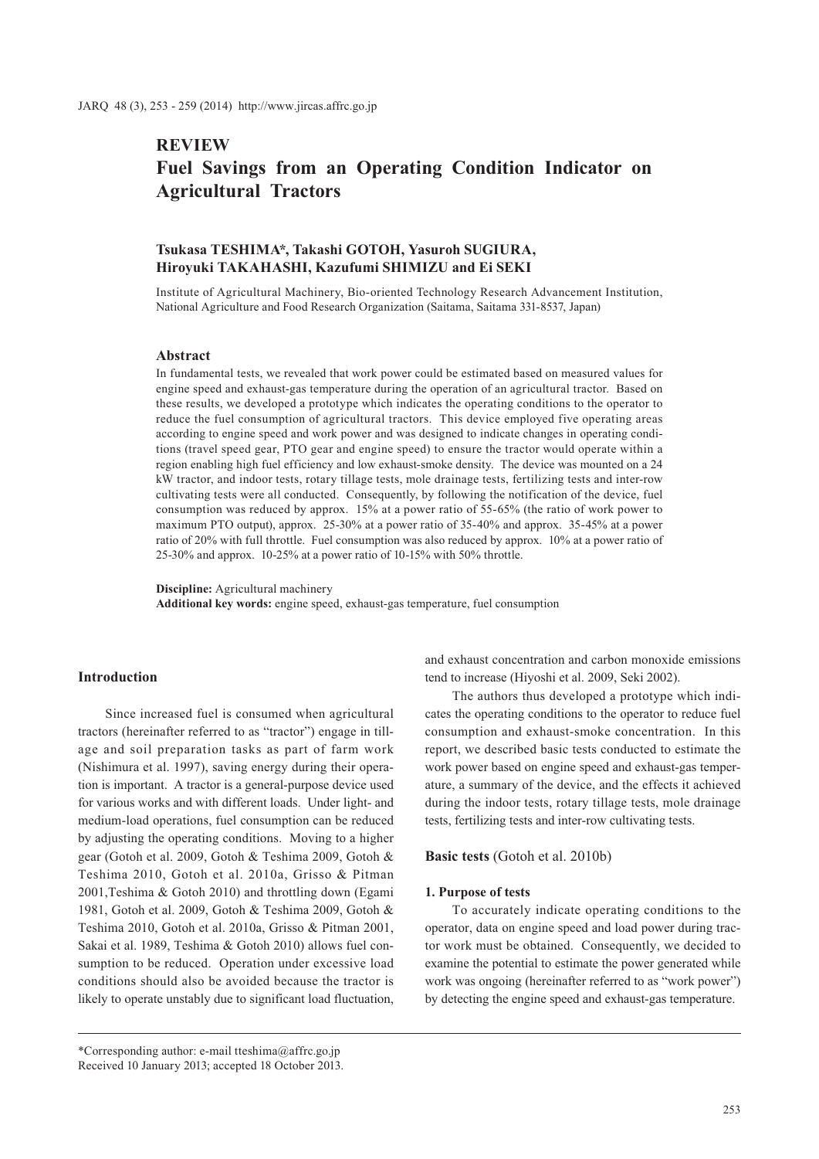# **REVIEW Fuel Savings from an Operating Condition Indicator on Agricultural Tractors**

# **Tsukasa TESHIMA\*, Takashi GOTOH, Yasuroh SUGIURA, Hiroyuki TAKAHASHI, Kazufumi SHIMIZU and Ei SEKI**

Institute of Agricultural Machinery, Bio-oriented Technology Research Advancement Institution, National Agriculture and Food Research Organization (Saitama, Saitama 331-8537, Japan)

### **Abstract**

In fundamental tests, we revealed that work power could be estimated based on measured values for engine speed and exhaust-gas temperature during the operation of an agricultural tractor. Based on these results, we developed a prototype which indicates the operating conditions to the operator to reduce the fuel consumption of agricultural tractors. This device employed five operating areas according to engine speed and work power and was designed to indicate changes in operating conditions (travel speed gear, PTO gear and engine speed) to ensure the tractor would operate within a region enabling high fuel efficiency and low exhaust-smoke density. The device was mounted on a 24 kW tractor, and indoor tests, rotary tillage tests, mole drainage tests, fertilizing tests and inter-row cultivating tests were all conducted. Consequently, by following the notification of the device, fuel consumption was reduced by approx. 15% at a power ratio of 55-65% (the ratio of work power to maximum PTO output), approx. 25-30% at a power ratio of 35-40% and approx. 35-45% at a power ratio of 20% with full throttle. Fuel consumption was also reduced by approx. 10% at a power ratio of 25-30% and approx. 10-25% at a power ratio of 10-15% with 50% throttle.

**Discipline:** Agricultural machinery **Additional key words:** engine speed, exhaust-gas temperature, fuel consumption

# **Introduction**

Since increased fuel is consumed when agricultural tractors (hereinafter referred to as "tractor") engage in tillage and soil preparation tasks as part of farm work (Nishimura et al. 1997), saving energy during their operation is important. A tractor is a general-purpose device used for various works and with different loads. Under light- and medium-load operations, fuel consumption can be reduced by adjusting the operating conditions. Moving to a higher gear (Gotoh et al. 2009, Gotoh & Teshima 2009, Gotoh & Teshima 2010, Gotoh et al. 2010a, Grisso & Pitman 2001,Teshima & Gotoh 2010) and throttling down (Egami 1981, Gotoh et al. 2009, Gotoh & Teshima 2009, Gotoh & Teshima 2010, Gotoh et al. 2010a, Grisso & Pitman 2001, Sakai et al. 1989, Teshima & Gotoh 2010) allows fuel consumption to be reduced. Operation under excessive load conditions should also be avoided because the tractor is likely to operate unstably due to significant load fluctuation,

and exhaust concentration and carbon monoxide emissions tend to increase (Hiyoshi et al. 2009, Seki 2002).

The authors thus developed a prototype which indicates the operating conditions to the operator to reduce fuel consumption and exhaust-smoke concentration. In this report, we described basic tests conducted to estimate the work power based on engine speed and exhaust-gas temperature, a summary of the device, and the effects it achieved during the indoor tests, rotary tillage tests, mole drainage tests, fertilizing tests and inter-row cultivating tests.

**Basic tests** (Gotoh et al. 2010b)

#### **1. Purpose of tests**

To accurately indicate operating conditions to the operator, data on engine speed and load power during tractor work must be obtained. Consequently, we decided to examine the potential to estimate the power generated while work was ongoing (hereinafter referred to as "work power") by detecting the engine speed and exhaust-gas temperature.

<sup>\*</sup>Corresponding author: e-mail tteshima@affrc.go.jp Received 10 January 2013; accepted 18 October 2013.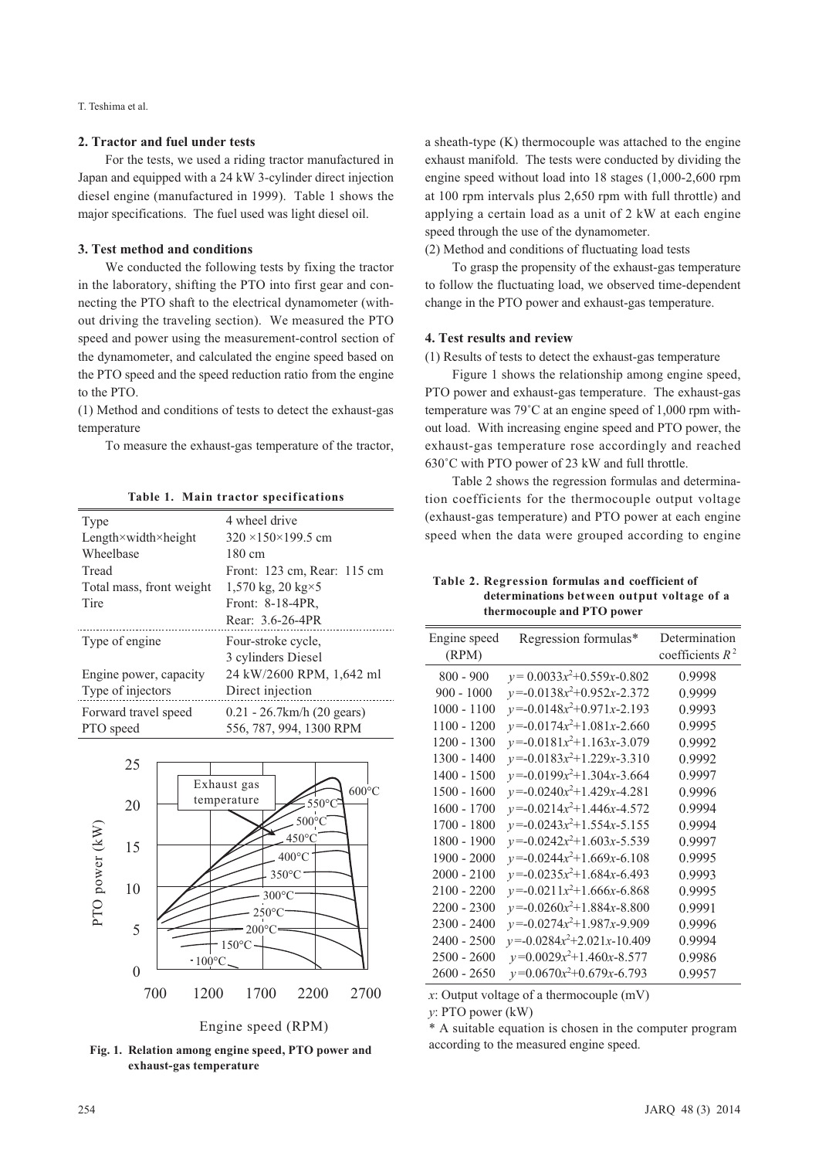T. Teshima et al.

# **2. Tractor and fuel under tests**

For the tests, we used a riding tractor manufactured in Japan and equipped with a 24 kW 3-cylinder direct injection diesel engine (manufactured in 1999). Table 1 shows the major specifications. The fuel used was light diesel oil.

### **3. Test method and conditions**

We conducted the following tests by fixing the tractor in the laboratory, shifting the PTO into first gear and connecting the PTO shaft to the electrical dynamometer (without driving the traveling section). We measured the PTO speed and power using the measurement-control section of the dynamometer, and calculated the engine speed based on the PTO speed and the speed reduction ratio from the engine to the PTO.

(1) Method and conditions of tests to detect the exhaust-gas temperature

To measure the exhaust-gas temperature of the tractor,

**Table 1. Main tractor specifications**

| Type                     | 4 wheel drive                    |
|--------------------------|----------------------------------|
| Length×width×height      | $320 \times 150 \times 199.5$ cm |
| Wheelbase                | 180 cm                           |
| Tread                    | Front: 123 cm, Rear: 115 cm      |
| Total mass, front weight | 1,570 kg, 20 kg $\times$ 5       |
| Tire                     | Front: 8-18-4PR,                 |
|                          | Rear: 3.6-26-4PR                 |
|                          |                                  |
| Type of engine.          | Four-stroke cycle,               |
|                          | 3 cylinders Diesel               |
| Engine power, capacity   | 24 kW/2600 RPM, 1,642 ml         |
| Type of injectors        | Direct injection                 |
| Forward travel speed     | $0.21 - 26.7$ km/h $(20$ gears)  |
| PTO speed                | 556, 787, 994, 1300 RPM          |



Engine speed (RPM)

**Fig. 1. Relation among engine speed, PTO power and exhaust-gas temperature**

a sheath-type (K) thermocouple was attached to the engine exhaust manifold. The tests were conducted by dividing the engine speed without load into 18 stages (1,000-2,600 rpm at 100 rpm intervals plus 2,650 rpm with full throttle) and applying a certain load as a unit of 2 kW at each engine speed through the use of the dynamometer.

(2) Method and conditions of fluctuating load tests

To grasp the propensity of the exhaust-gas temperature to follow the fluctuating load, we observed time-dependent change in the PTO power and exhaust-gas temperature.

# **4. Test results and review**

(1) Results of tests to detect the exhaust-gas temperature

Figure 1 shows the relationship among engine speed, PTO power and exhaust-gas temperature. The exhaust-gas temperature was 79˚C at an engine speed of 1,000 rpm without load. With increasing engine speed and PTO power, the exhaust-gas temperature rose accordingly and reached 630˚C with PTO power of 23 kW and full throttle.

Table 2 shows the regression formulas and determination coefficients for the thermocouple output voltage (exhaust-gas temperature) and PTO power at each engine speed when the data were grouped according to engine

**Table 2. Regression formulas and coefficient of determinations between output voltage of a thermocouple and PTO power**

| Engine speed<br>(RPM) | Regression formulas*                 | Determination<br>coefficients $R^2$ |
|-----------------------|--------------------------------------|-------------------------------------|
| $800 - 900$           | $y = 0.0033x^{2} + 0.559x - 0.802$   | 0.9998                              |
| $900 - 1000$          | $y=0.0138x^{2}+0.952x-2.372$         | 0.9999                              |
| $1000 - 1100$         | $y = -0.0148x^{2} + 0.971x - 2.193$  | 0.9993                              |
| $1100 - 1200$         | $y = -0.0174x^{2} + 1.081x - 2.660$  | 0.9995                              |
| $1200 - 1300$         | $y = -0.0181x^{2} + 1.163x - 3.079$  | 0.9992                              |
| $1300 - 1400$         | $y = -0.0183x^{2} + 1.229x - 3.310$  | 0.9992                              |
| 1400 - 1500           | $y = -0.0199x^{2} + 1.304x - 3.664$  | 0.9997                              |
| $1500 - 1600$         | $y=0.0240x^2+1.429x-4.281$           | 0.9996                              |
| $1600 - 1700$         | $y = -0.0214x^{2} + 1.446x - 4.572$  | 0.9994                              |
| $1700 - 1800$         | $y=0.0243x^{2}+1.554x-5.155$         | 0.9994                              |
| 1800 - 1900           | $y = -0.0242x^2 + 1.603x - 5.539$    | 0.9997                              |
| $1900 - 2000$         | $y=0.0244x^2+1.669x-6.108$           | 0.9995                              |
| $2000 - 2100$         | $y = -0.0235x^2 + 1.684x - 6.493$    | 0.9993                              |
| $2100 - 2200$         | $y = -0.0211x^2+1.666x-6.868$        | 0.9995                              |
| $2200 - 2300$         | $y = -0.0260x^2 + 1.884x - 8.800$    | 0.9991                              |
| $2300 - 2400$         | $y=0.0274x^2+1.987x-9.909$           | 0.9996                              |
| $2400 - 2500$         | $y = -0.0284x^{2} + 2.021x - 10.409$ | 0.9994                              |
| $2500 - 2600$         | $y=0.0029x^2+1.460x-8.577$           | 0.9986                              |
| 2600 - 2650           | $y=0.0670x^2+0.679x-6.793$           | 0.9957                              |

*x*: Output voltage of a thermocouple (mV)

*y*: PTO power (kW)

\* A suitable equation is chosen in the computer program according to the measured engine speed.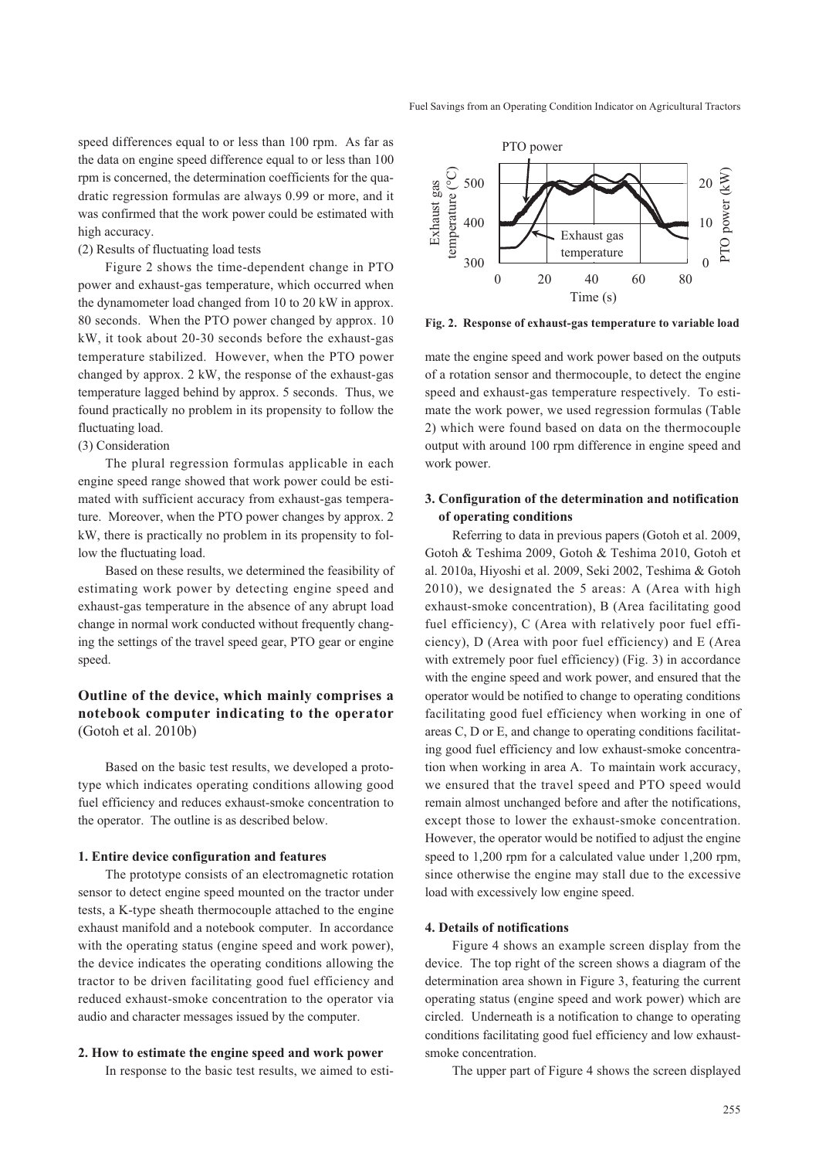speed differences equal to or less than 100 rpm. As far as the data on engine speed difference equal to or less than 100 rpm is concerned, the determination coefficients for the quadratic regression formulas are always 0.99 or more, and it was confirmed that the work power could be estimated with high accuracy.

#### (2) Results of fluctuating load tests

Figure 2 shows the time-dependent change in PTO power and exhaust-gas temperature, which occurred when the dynamometer load changed from 10 to 20 kW in approx. 80 seconds. When the PTO power changed by approx. 10 kW, it took about 20-30 seconds before the exhaust-gas temperature stabilized. However, when the PTO power changed by approx. 2 kW, the response of the exhaust-gas temperature lagged behind by approx. 5 seconds. Thus, we found practically no problem in its propensity to follow the fluctuating load.

# (3) Consideration

The plural regression formulas applicable in each engine speed range showed that work power could be estimated with sufficient accuracy from exhaust-gas temperature. Moreover, when the PTO power changes by approx. 2 kW, there is practically no problem in its propensity to follow the fluctuating load.

Based on these results, we determined the feasibility of estimating work power by detecting engine speed and exhaust-gas temperature in the absence of any abrupt load change in normal work conducted without frequently changing the settings of the travel speed gear, PTO gear or engine speed.

# **Outline of the device, which mainly comprises a notebook computer indicating to the operator**  (Gotoh et al. 2010b)

Based on the basic test results, we developed a prototype which indicates operating conditions allowing good fuel efficiency and reduces exhaust-smoke concentration to the operator. The outline is as described below.

#### **1. Entire device configuration and features**

The prototype consists of an electromagnetic rotation sensor to detect engine speed mounted on the tractor under tests, a K-type sheath thermocouple attached to the engine exhaust manifold and a notebook computer. In accordance with the operating status (engine speed and work power), the device indicates the operating conditions allowing the tractor to be driven facilitating good fuel efficiency and reduced exhaust-smoke concentration to the operator via audio and character messages issued by the computer.

#### **2. How to estimate the engine speed and work power**

In response to the basic test results, we aimed to esti-



**Fig. 2. Response of exhaust-gas temperature to variable load**

mate the engine speed and work power based on the outputs of a rotation sensor and thermocouple, to detect the engine speed and exhaust-gas temperature respectively. To estimate the work power, we used regression formulas (Table 2) which were found based on data on the thermocouple output with around 100 rpm difference in engine speed and work power.

# **3. Configuration of the determination and notification of operating conditions**

Referring to data in previous papers (Gotoh et al. 2009, Gotoh & Teshima 2009, Gotoh & Teshima 2010, Gotoh et al. 2010a, Hiyoshi et al. 2009, Seki 2002, Teshima & Gotoh 2010), we designated the 5 areas: A (Area with high exhaust-smoke concentration), B (Area facilitating good fuel efficiency), C (Area with relatively poor fuel efficiency), D (Area with poor fuel efficiency) and E (Area with extremely poor fuel efficiency) (Fig. 3) in accordance with the engine speed and work power, and ensured that the operator would be notified to change to operating conditions facilitating good fuel efficiency when working in one of areas C, D or E, and change to operating conditions facilitating good fuel efficiency and low exhaust-smoke concentration when working in area A. To maintain work accuracy, we ensured that the travel speed and PTO speed would remain almost unchanged before and after the notifications, except those to lower the exhaust-smoke concentration. However, the operator would be notified to adjust the engine speed to 1,200 rpm for a calculated value under 1,200 rpm, since otherwise the engine may stall due to the excessive load with excessively low engine speed.

### **4. Details of notifications**

Figure 4 shows an example screen display from the device. The top right of the screen shows a diagram of the determination area shown in Figure 3, featuring the current operating status (engine speed and work power) which are circled. Underneath is a notification to change to operating conditions facilitating good fuel efficiency and low exhaustsmoke concentration.

The upper part of Figure 4 shows the screen displayed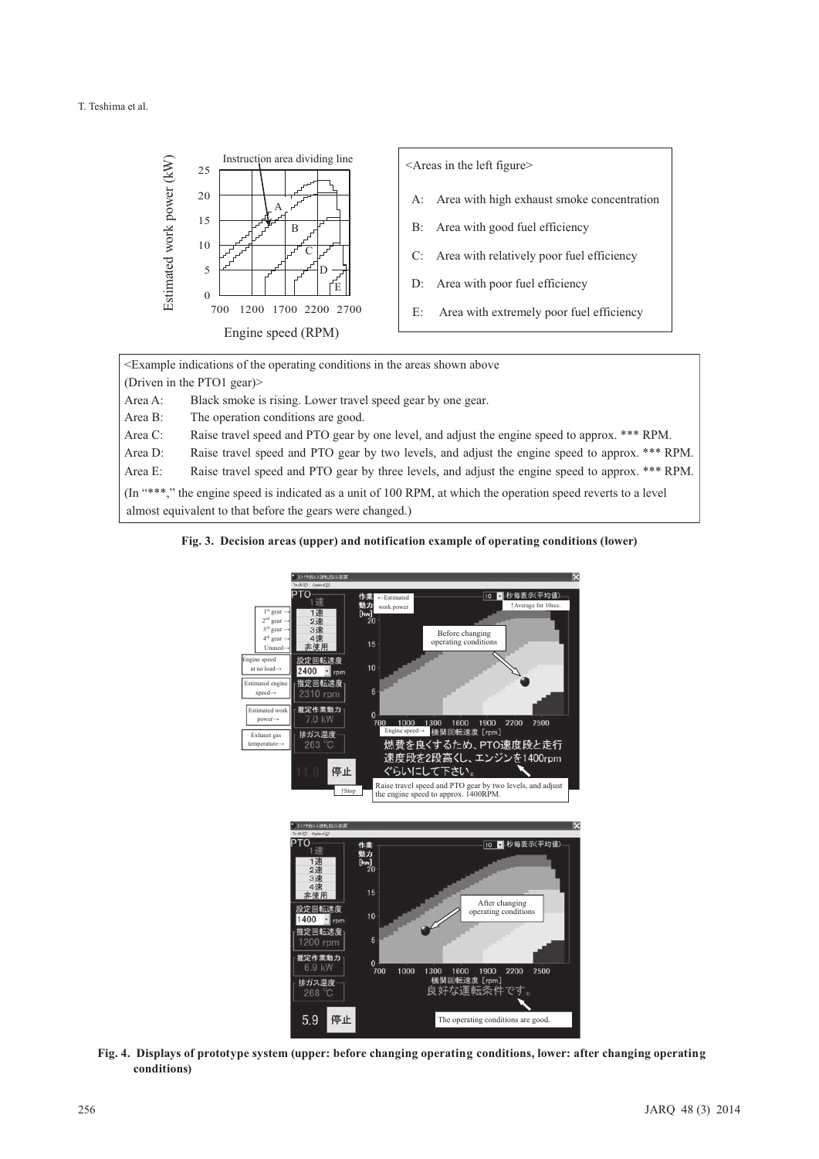

<Example indications of the operating conditions in the areas shown above (Driven in the PTO1 gear)> Area A: Black smoke is rising. Lower travel speed gear by one gear. Area B: The operation conditions are good. Area C: Raise travel speed and PTO gear by one level, and adjust the engine speed to approx. \*\*\* RPM. Area D: Raise travel speed and PTO gear by two levels, and adjust the engine speed to approx. \*\*\* RPM. Area E: Raise travel speed and PTO gear by three levels, and adjust the engine speed to approx. \*\*\* RPM. (In "\*\*\*," the engine speed is indicated as a unit of 100 RPM, at which the operation speed reverts to a level almost equivalent to that before the gears were changed.)

**Fig. 3. Decision areas (upper) and notification example of operating conditions (lower)**



**Fig. 4. Displays of prototype system (upper: before changing operating conditions, lower: after changing operating conditions)**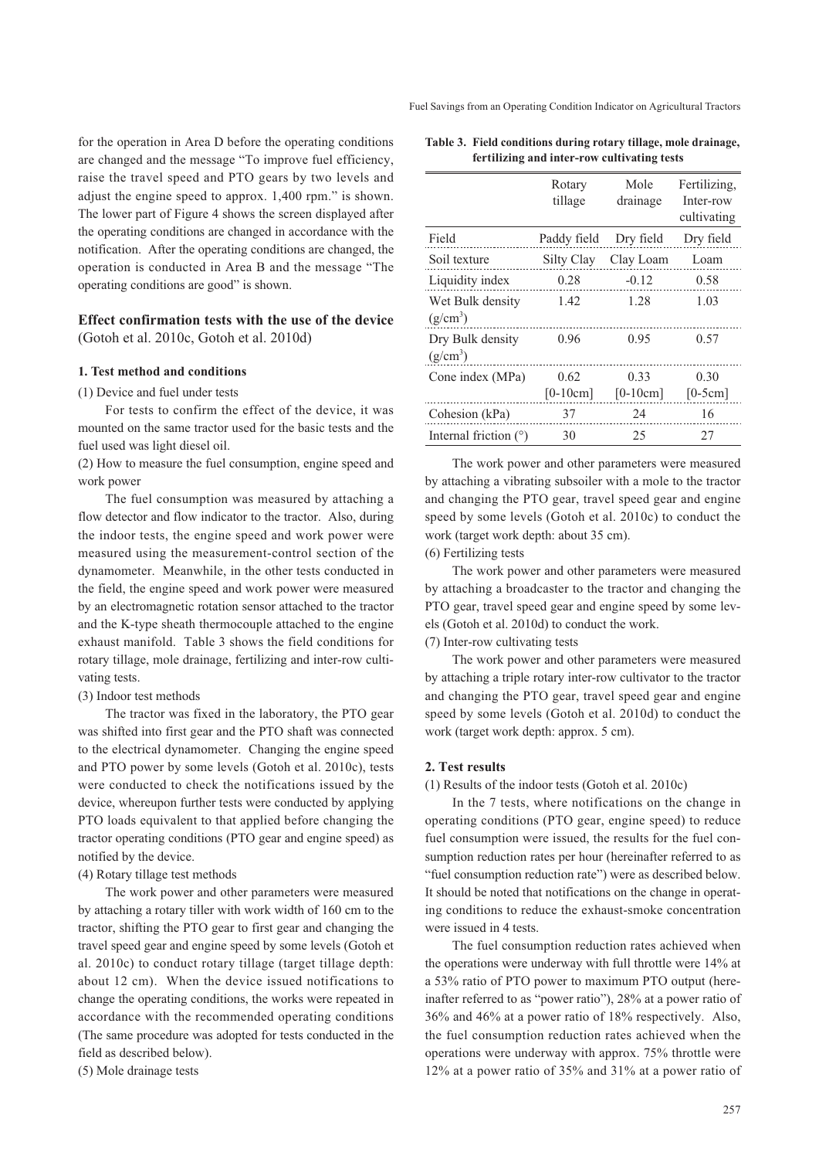Fuel Savings from an Operating Condition Indicator on Agricultural Tractors

for the operation in Area D before the operating conditions are changed and the message "To improve fuel efficiency, raise the travel speed and PTO gears by two levels and adjust the engine speed to approx. 1,400 rpm." is shown. The lower part of Figure 4 shows the screen displayed after the operating conditions are changed in accordance with the notification. After the operating conditions are changed, the operation is conducted in Area B and the message "The operating conditions are good" is shown.

# **Effect confirmation tests with the use of the device**  (Gotoh et al. 2010c, Gotoh et al. 2010d)

#### **1. Test method and conditions**

(1) Device and fuel under tests

For tests to confirm the effect of the device, it was mounted on the same tractor used for the basic tests and the fuel used was light diesel oil.

(2) How to measure the fuel consumption, engine speed and work power

The fuel consumption was measured by attaching a flow detector and flow indicator to the tractor. Also, during the indoor tests, the engine speed and work power were measured using the measurement-control section of the dynamometer. Meanwhile, in the other tests conducted in the field, the engine speed and work power were measured by an electromagnetic rotation sensor attached to the tractor and the K-type sheath thermocouple attached to the engine exhaust manifold. Table 3 shows the field conditions for rotary tillage, mole drainage, fertilizing and inter-row cultivating tests.

#### (3) Indoor test methods

The tractor was fixed in the laboratory, the PTO gear was shifted into first gear and the PTO shaft was connected to the electrical dynamometer. Changing the engine speed and PTO power by some levels (Gotoh et al. 2010c), tests were conducted to check the notifications issued by the device, whereupon further tests were conducted by applying PTO loads equivalent to that applied before changing the tractor operating conditions (PTO gear and engine speed) as notified by the device.

#### (4) Rotary tillage test methods

The work power and other parameters were measured by attaching a rotary tiller with work width of 160 cm to the tractor, shifting the PTO gear to first gear and changing the travel speed gear and engine speed by some levels (Gotoh et al. 2010c) to conduct rotary tillage (target tillage depth: about 12 cm). When the device issued notifications to change the operating conditions, the works were repeated in accordance with the recommended operating conditions (The same procedure was adopted for tests conducted in the field as described below).

(5) Mole drainage tests

| Table 3. Field conditions during rotary tillage, mole drainage, |
|-----------------------------------------------------------------|
| fertilizing and inter-row cultivating tests                     |

|                                | Rotary<br>tillage  | Mole<br>drainage   | Fertilizing,<br>Inter-row<br>cultivating |
|--------------------------------|--------------------|--------------------|------------------------------------------|
| Field                          | Paddy field        | Dry field          | Dry field                                |
| Soil texture                   | Silty Clay         | Clay Loam          | Loam                                     |
| Liquidity index                | 0.28               | $-0.12$            | 0.58                                     |
| Wet Bulk density<br>$(g/cm^3)$ | 1.42               | 1.28               | 1.03                                     |
| Dry Bulk density<br>$(g/cm^3)$ | 0.96               | 0.95               | 0.57                                     |
| Cone index (MPa)               | 0.62<br>$[0-10cm]$ | 0.33<br>$[0-10cm]$ | 0.30<br>$[0-5cm]$                        |
| Cohesion (kPa)                 | 37                 | 24                 | 16                                       |
| Internal friction $(°)$        | 30                 | 25                 | 27                                       |

The work power and other parameters were measured by attaching a vibrating subsoiler with a mole to the tractor and changing the PTO gear, travel speed gear and engine speed by some levels (Gotoh et al. 2010c) to conduct the work (target work depth: about 35 cm).

(6) Fertilizing tests

The work power and other parameters were measured by attaching a broadcaster to the tractor and changing the PTO gear, travel speed gear and engine speed by some levels (Gotoh et al. 2010d) to conduct the work.

(7) Inter-row cultivating tests

The work power and other parameters were measured by attaching a triple rotary inter-row cultivator to the tractor and changing the PTO gear, travel speed gear and engine speed by some levels (Gotoh et al. 2010d) to conduct the work (target work depth: approx. 5 cm).

# **2. Test results**

(1) Results of the indoor tests (Gotoh et al. 2010c)

In the 7 tests, where notifications on the change in operating conditions (PTO gear, engine speed) to reduce fuel consumption were issued, the results for the fuel consumption reduction rates per hour (hereinafter referred to as "fuel consumption reduction rate") were as described below. It should be noted that notifications on the change in operating conditions to reduce the exhaust-smoke concentration were issued in 4 tests.

The fuel consumption reduction rates achieved when the operations were underway with full throttle were 14% at a 53% ratio of PTO power to maximum PTO output (hereinafter referred to as "power ratio"), 28% at a power ratio of 36% and 46% at a power ratio of 18% respectively. Also, the fuel consumption reduction rates achieved when the operations were underway with approx. 75% throttle were 12% at a power ratio of 35% and 31% at a power ratio of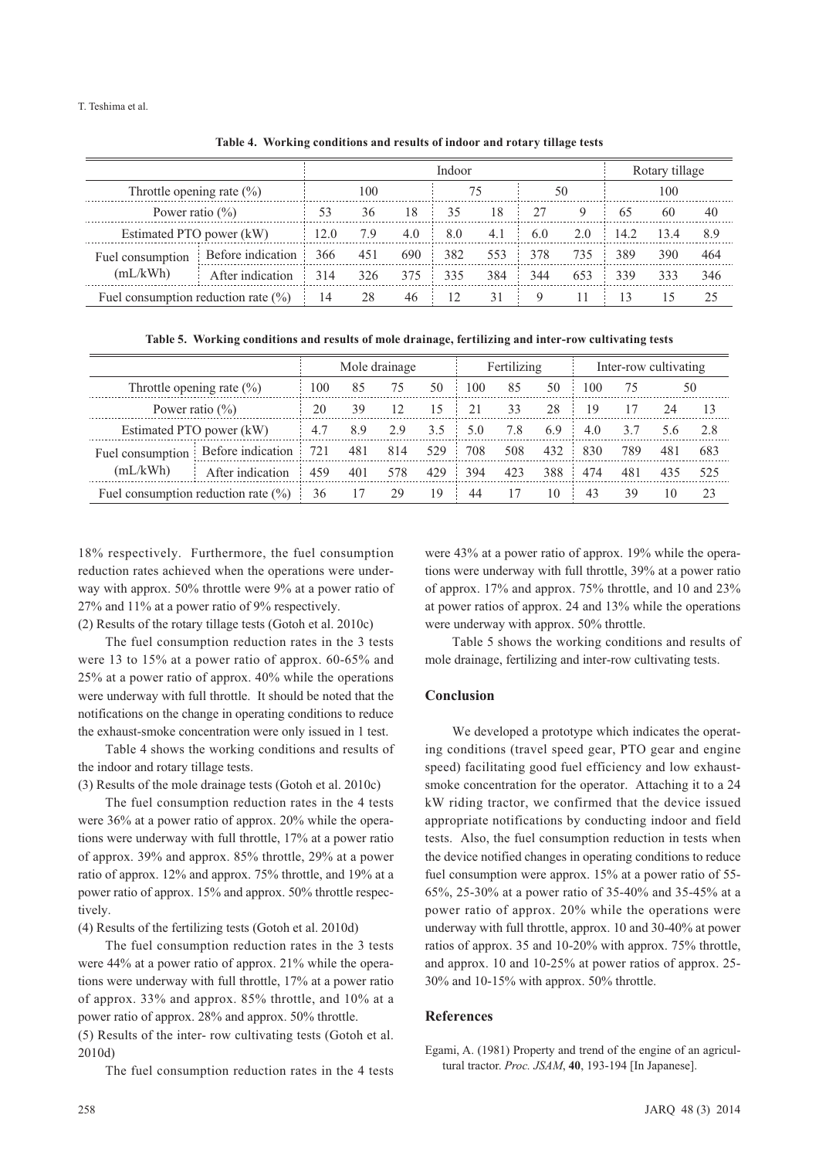#### T. Teshima et al.

|                                         |                   | Indoor         |     |     |     |                           |     |     |      | Rotary tillage |     |  |
|-----------------------------------------|-------------------|----------------|-----|-----|-----|---------------------------|-----|-----|------|----------------|-----|--|
| Throttle opening rate $(\% )$           |                   | 100            |     | 75  |     | 50                        |     | 100 |      |                |     |  |
| Power ratio $(\% )$                     |                   | 36<br>18<br>53 |     | 35  | 18  | 27                        | 9   | 65  | 60   | 40             |     |  |
| Estimated PTO power (kW)                |                   | 12.0           | 7.9 | 4.0 | 8.0 | 14.2<br>6.0<br>4.1<br>2.0 |     |     | 13.4 | 8.9            |     |  |
| Fuel consumption                        | Before indication | 366            | 451 | 690 | 382 | 553                       | 378 | 735 | 389  | 390            | 464 |  |
| (mL/kWh)                                | After indication  | 314            | 326 | 375 | 335 | 384                       | 344 | 653 | 339  | 333            | 346 |  |
| Fuel consumption reduction rate $(\% )$ |                   | 14             | 28  | 46  | 12  | 31                        | 9   |     | 13   |                | 25  |  |

**Table 4. Working conditions and results of indoor and rotary tillage tests**

**Table 5. Working conditions and results of mole drainage, fertilizing and inter-row cultivating tests**

|                                         |                                            | Mole drainage |     |     |     | Fertilizing |                                 |     | Inter-row cultivating |     |     |     |
|-----------------------------------------|--------------------------------------------|---------------|-----|-----|-----|-------------|---------------------------------|-----|-----------------------|-----|-----|-----|
|                                         | Throttle opening rate $(\% )$<br>85<br>100 |               | 75  | 50  | 100 | 85          | 50                              | 100 | 75                    |     | 50  |     |
|                                         | 20<br>Power ratio $(\% )$<br>39<br>12      |               | 15  |     | 33  | 28          | 19                              |     | 24                    | 13  |     |     |
|                                         | Estimated PTO power (kW)                   | 4.7           | 8.9 | 2.9 | 3.5 | 5.0         | 7.8<br>3.7<br>6.9<br>4.0<br>5.6 |     | 2.8                   |     |     |     |
| Fuel consumption<br>(mL/kWh)            | Before indication                          | 721           | 481 | 814 | 529 | 708         | 508                             | 432 | 830                   | 789 | 481 | 683 |
|                                         | After indication                           | 459           | 401 | 578 | 429 | 394         | 423                             | 388 | 474                   | 481 | 435 | 525 |
| Fuel consumption reduction rate $(\% )$ |                                            | 36            | 17  | 29  | 19  | 44          | 17                              | 10  | 43                    | 39  | 10  | 23  |

18% respectively. Furthermore, the fuel consumption reduction rates achieved when the operations were underway with approx. 50% throttle were 9% at a power ratio of 27% and 11% at a power ratio of 9% respectively.

(2) Results of the rotary tillage tests (Gotoh et al. 2010c)

The fuel consumption reduction rates in the 3 tests were 13 to 15% at a power ratio of approx. 60-65% and 25% at a power ratio of approx. 40% while the operations were underway with full throttle. It should be noted that the notifications on the change in operating conditions to reduce the exhaust-smoke concentration were only issued in 1 test.

Table 4 shows the working conditions and results of the indoor and rotary tillage tests.

(3) Results of the mole drainage tests (Gotoh et al. 2010c)

The fuel consumption reduction rates in the 4 tests were 36% at a power ratio of approx. 20% while the operations were underway with full throttle, 17% at a power ratio of approx. 39% and approx. 85% throttle, 29% at a power ratio of approx. 12% and approx. 75% throttle, and 19% at a power ratio of approx. 15% and approx. 50% throttle respectively.

(4) Results of the fertilizing tests (Gotoh et al. 2010d)

The fuel consumption reduction rates in the 3 tests were 44% at a power ratio of approx. 21% while the operations were underway with full throttle, 17% at a power ratio of approx. 33% and approx. 85% throttle, and 10% at a power ratio of approx. 28% and approx. 50% throttle. (5) Results of the inter- row cultivating tests (Gotoh et al. 2010d)

The fuel consumption reduction rates in the 4 tests

were 43% at a power ratio of approx. 19% while the operations were underway with full throttle, 39% at a power ratio of approx. 17% and approx. 75% throttle, and 10 and 23% at power ratios of approx. 24 and 13% while the operations were underway with approx. 50% throttle.

Table 5 shows the working conditions and results of mole drainage, fertilizing and inter-row cultivating tests.

# **Conclusion**

We developed a prototype which indicates the operating conditions (travel speed gear, PTO gear and engine speed) facilitating good fuel efficiency and low exhaustsmoke concentration for the operator. Attaching it to a 24 kW riding tractor, we confirmed that the device issued appropriate notifications by conducting indoor and field tests. Also, the fuel consumption reduction in tests when the device notified changes in operating conditions to reduce fuel consumption were approx. 15% at a power ratio of 55- 65%, 25-30% at a power ratio of 35-40% and 35-45% at a power ratio of approx. 20% while the operations were underway with full throttle, approx. 10 and 30-40% at power ratios of approx. 35 and 10-20% with approx. 75% throttle, and approx. 10 and 10-25% at power ratios of approx. 25- 30% and 10-15% with approx. 50% throttle.

# **References**

Egami, A. (1981) Property and trend of the engine of an agricultural tractor. *Proc. JSAM*, **40**, 193-194 [In Japanese].